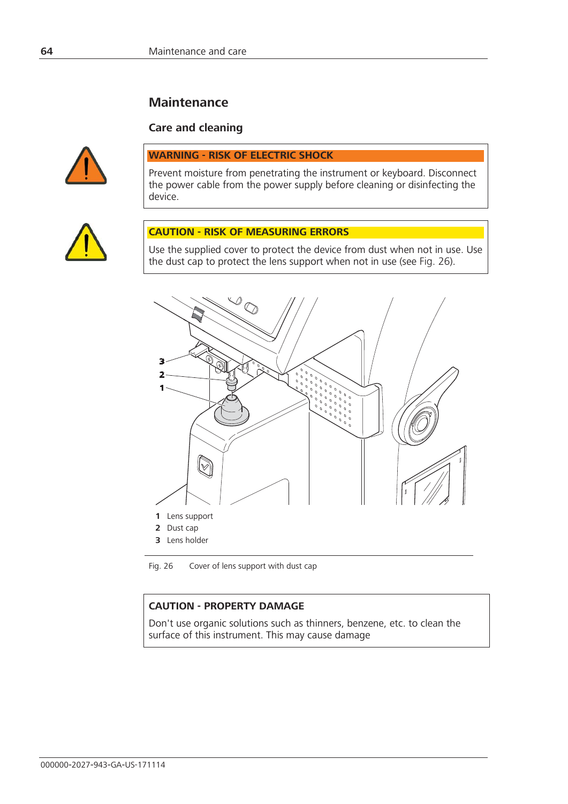# **Maintenance**

### **Care and cleaning**



#### **WARNING - RISK OF ELECTRIC SHOCK**

Prevent moisture from penetrating the instrument or keyboard. Disconnect the power cable from the power supply before cleaning or disinfecting the device.



## **CAUTION - RISK OF MEASURING ERRORS**

Use the supplied cover to protect the device from dust when not in use. Use the dust cap to protect the lens support when not in use (see Fig. 26).



**3** Lens holder

Fig. 26 Cover of lens support with dust cap

#### **CAUTION - PROPERTY DAMAGE**

Don't use organic solutions such as thinners, benzene, etc. to clean the surface of this instrument. This may cause damage